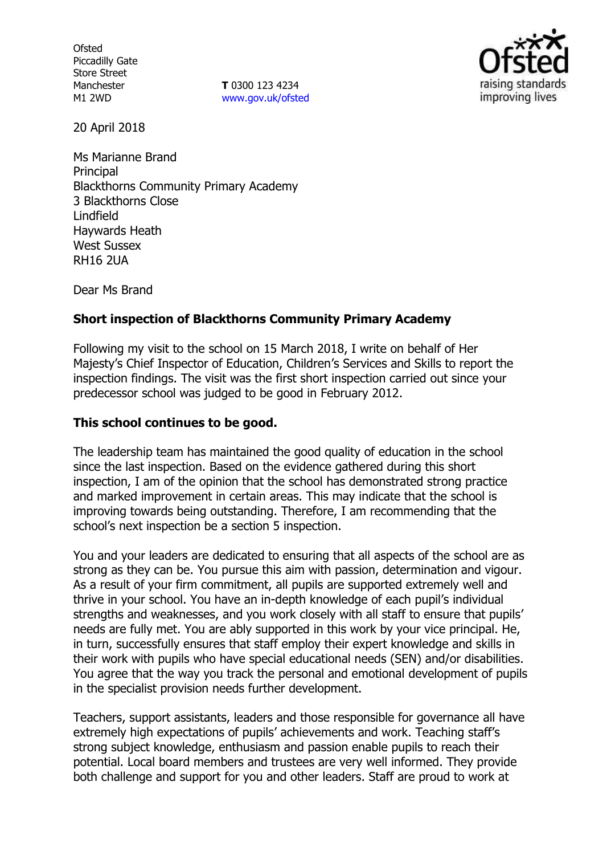**Ofsted** Piccadilly Gate Store Street Manchester M1 2WD

**T** 0300 123 4234 www.gov.uk/ofsted



20 April 2018

Ms Marianne Brand **Principal** Blackthorns Community Primary Academy 3 Blackthorns Close Lindfield Haywards Heath West Sussex RH16 2UA

Dear Ms Brand

## **Short inspection of Blackthorns Community Primary Academy**

Following my visit to the school on 15 March 2018, I write on behalf of Her Majesty's Chief Inspector of Education, Children's Services and Skills to report the inspection findings. The visit was the first short inspection carried out since your predecessor school was judged to be good in February 2012.

### **This school continues to be good.**

The leadership team has maintained the good quality of education in the school since the last inspection. Based on the evidence gathered during this short inspection, I am of the opinion that the school has demonstrated strong practice and marked improvement in certain areas. This may indicate that the school is improving towards being outstanding. Therefore, I am recommending that the school's next inspection be a section 5 inspection.

You and your leaders are dedicated to ensuring that all aspects of the school are as strong as they can be. You pursue this aim with passion, determination and vigour. As a result of your firm commitment, all pupils are supported extremely well and thrive in your school. You have an in-depth knowledge of each pupil's individual strengths and weaknesses, and you work closely with all staff to ensure that pupils' needs are fully met. You are ably supported in this work by your vice principal. He, in turn, successfully ensures that staff employ their expert knowledge and skills in their work with pupils who have special educational needs (SEN) and/or disabilities. You agree that the way you track the personal and emotional development of pupils in the specialist provision needs further development.

Teachers, support assistants, leaders and those responsible for governance all have extremely high expectations of pupils' achievements and work. Teaching staff's strong subject knowledge, enthusiasm and passion enable pupils to reach their potential. Local board members and trustees are very well informed. They provide both challenge and support for you and other leaders. Staff are proud to work at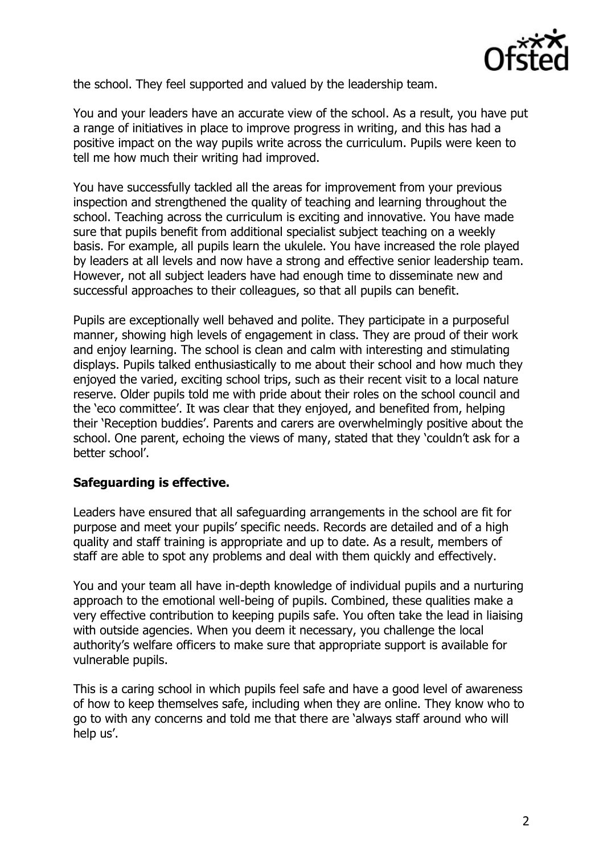

the school. They feel supported and valued by the leadership team.

You and your leaders have an accurate view of the school. As a result, you have put a range of initiatives in place to improve progress in writing, and this has had a positive impact on the way pupils write across the curriculum. Pupils were keen to tell me how much their writing had improved.

You have successfully tackled all the areas for improvement from your previous inspection and strengthened the quality of teaching and learning throughout the school. Teaching across the curriculum is exciting and innovative. You have made sure that pupils benefit from additional specialist subject teaching on a weekly basis. For example, all pupils learn the ukulele. You have increased the role played by leaders at all levels and now have a strong and effective senior leadership team. However, not all subject leaders have had enough time to disseminate new and successful approaches to their colleagues, so that all pupils can benefit.

Pupils are exceptionally well behaved and polite. They participate in a purposeful manner, showing high levels of engagement in class. They are proud of their work and enjoy learning. The school is clean and calm with interesting and stimulating displays. Pupils talked enthusiastically to me about their school and how much they enjoyed the varied, exciting school trips, such as their recent visit to a local nature reserve. Older pupils told me with pride about their roles on the school council and the 'eco committee'. It was clear that they enjoyed, and benefited from, helping their 'Reception buddies'. Parents and carers are overwhelmingly positive about the school. One parent, echoing the views of many, stated that they 'couldn't ask for a better school'.

#### **Safeguarding is effective.**

Leaders have ensured that all safeguarding arrangements in the school are fit for purpose and meet your pupils' specific needs. Records are detailed and of a high quality and staff training is appropriate and up to date. As a result, members of staff are able to spot any problems and deal with them quickly and effectively.

You and your team all have in-depth knowledge of individual pupils and a nurturing approach to the emotional well-being of pupils. Combined, these qualities make a very effective contribution to keeping pupils safe. You often take the lead in liaising with outside agencies. When you deem it necessary, you challenge the local authority's welfare officers to make sure that appropriate support is available for vulnerable pupils.

This is a caring school in which pupils feel safe and have a good level of awareness of how to keep themselves safe, including when they are online. They know who to go to with any concerns and told me that there are 'always staff around who will help us'.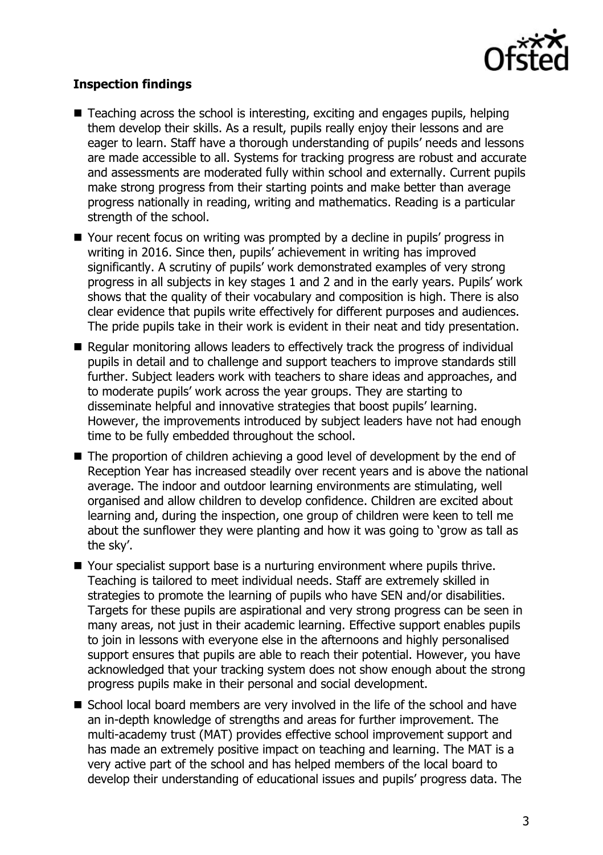

# **Inspection findings**

- Teaching across the school is interesting, exciting and engages pupils, helping them develop their skills. As a result, pupils really enjoy their lessons and are eager to learn. Staff have a thorough understanding of pupils' needs and lessons are made accessible to all. Systems for tracking progress are robust and accurate and assessments are moderated fully within school and externally. Current pupils make strong progress from their starting points and make better than average progress nationally in reading, writing and mathematics. Reading is a particular strength of the school.
- Your recent focus on writing was prompted by a decline in pupils' progress in writing in 2016. Since then, pupils' achievement in writing has improved significantly. A scrutiny of pupils' work demonstrated examples of very strong progress in all subjects in key stages 1 and 2 and in the early years. Pupils' work shows that the quality of their vocabulary and composition is high. There is also clear evidence that pupils write effectively for different purposes and audiences. The pride pupils take in their work is evident in their neat and tidy presentation.
- Regular monitoring allows leaders to effectively track the progress of individual pupils in detail and to challenge and support teachers to improve standards still further. Subject leaders work with teachers to share ideas and approaches, and to moderate pupils' work across the year groups. They are starting to disseminate helpful and innovative strategies that boost pupils' learning. However, the improvements introduced by subject leaders have not had enough time to be fully embedded throughout the school.
- The proportion of children achieving a good level of development by the end of Reception Year has increased steadily over recent years and is above the national average. The indoor and outdoor learning environments are stimulating, well organised and allow children to develop confidence. Children are excited about learning and, during the inspection, one group of children were keen to tell me about the sunflower they were planting and how it was going to 'grow as tall as the sky'.
- Your specialist support base is a nurturing environment where pupils thrive. Teaching is tailored to meet individual needs. Staff are extremely skilled in strategies to promote the learning of pupils who have SEN and/or disabilities. Targets for these pupils are aspirational and very strong progress can be seen in many areas, not just in their academic learning. Effective support enables pupils to join in lessons with everyone else in the afternoons and highly personalised support ensures that pupils are able to reach their potential. However, you have acknowledged that your tracking system does not show enough about the strong progress pupils make in their personal and social development.
- School local board members are very involved in the life of the school and have an in-depth knowledge of strengths and areas for further improvement. The multi-academy trust (MAT) provides effective school improvement support and has made an extremely positive impact on teaching and learning. The MAT is a very active part of the school and has helped members of the local board to develop their understanding of educational issues and pupils' progress data. The